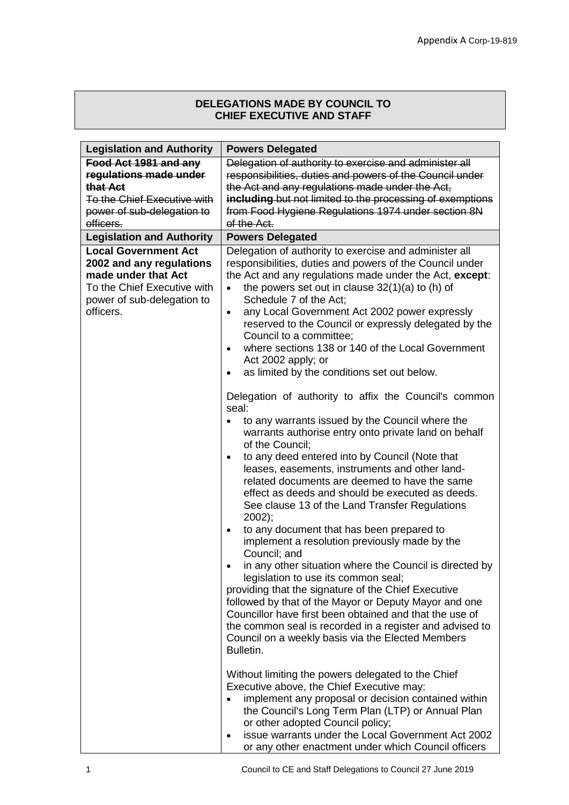## **DELEGATIONS MADE BY COUNCIL TO CHIEF EXECUTIVE AND STAFF**

| <b>Legislation and Authority</b>        | <b>Powers Delegated</b>                                                                                             |
|-----------------------------------------|---------------------------------------------------------------------------------------------------------------------|
| Food Act 1981 and any                   | Delegation of authority to exercise and administer all                                                              |
| regulations made under                  | responsibilities, duties and powers of the Council under                                                            |
| that Act                                | the Act and any regulations made under the Act,                                                                     |
| To the Chief Executive with             | including but not limited to the processing of exemptions                                                           |
| power of sub-delegation to              | from Food Hygiene Regulations 1974 under section 8N                                                                 |
| officers.                               | of the Act.                                                                                                         |
| <b>Legislation and Authority</b>        | <b>Powers Delegated</b>                                                                                             |
| <b>Local Government Act</b>             | Delegation of authority to exercise and administer all                                                              |
| 2002 and any regulations                | responsibilities, duties and powers of the Council under                                                            |
| made under that Act                     | the Act and any regulations made under the Act, except:                                                             |
| To the Chief Executive with             | the powers set out in clause $32(1)(a)$ to (h) of<br>$\bullet$<br>Schedule 7 of the Act;                            |
| power of sub-delegation to<br>officers. | any Local Government Act 2002 power expressly<br>$\bullet$                                                          |
|                                         | reserved to the Council or expressly delegated by the                                                               |
|                                         | Council to a committee;                                                                                             |
|                                         | where sections 138 or 140 of the Local Government<br>$\bullet$                                                      |
|                                         | Act 2002 apply; or                                                                                                  |
|                                         | as limited by the conditions set out below.                                                                         |
|                                         |                                                                                                                     |
|                                         | Delegation of authority to affix the Council's common                                                               |
|                                         | seal:                                                                                                               |
|                                         | to any warrants issued by the Council where the                                                                     |
|                                         | warrants authorise entry onto private land on behalf                                                                |
|                                         | of the Council;                                                                                                     |
|                                         | to any deed entered into by Council (Note that<br>$\bullet$<br>leases, easements, instruments and other land-       |
|                                         | related documents are deemed to have the same                                                                       |
|                                         | effect as deeds and should be executed as deeds.                                                                    |
|                                         | See clause 13 of the Land Transfer Regulations                                                                      |
|                                         | $2002$ :                                                                                                            |
|                                         | to any document that has been prepared to<br>$\bullet$                                                              |
|                                         | implement a resolution previously made by the                                                                       |
|                                         | Council; and                                                                                                        |
|                                         | in any other situation where the Council is directed by                                                             |
|                                         | legislation to use its common seal;                                                                                 |
|                                         | providing that the signature of the Chief Executive                                                                 |
|                                         | followed by that of the Mayor or Deputy Mayor and one                                                               |
|                                         | Councillor have first been obtained and that the use of<br>the common seal is recorded in a register and advised to |
|                                         | Council on a weekly basis via the Elected Members                                                                   |
|                                         | Bulletin.                                                                                                           |
|                                         |                                                                                                                     |
|                                         | Without limiting the powers delegated to the Chief                                                                  |
|                                         | Executive above, the Chief Executive may:                                                                           |
|                                         | implement any proposal or decision contained within                                                                 |
|                                         | the Council's Long Term Plan (LTP) or Annual Plan                                                                   |
|                                         | or other adopted Council policy;                                                                                    |
|                                         | issue warrants under the Local Government Act 2002<br>$\bullet$                                                     |
|                                         | or any other enactment under which Council officers                                                                 |